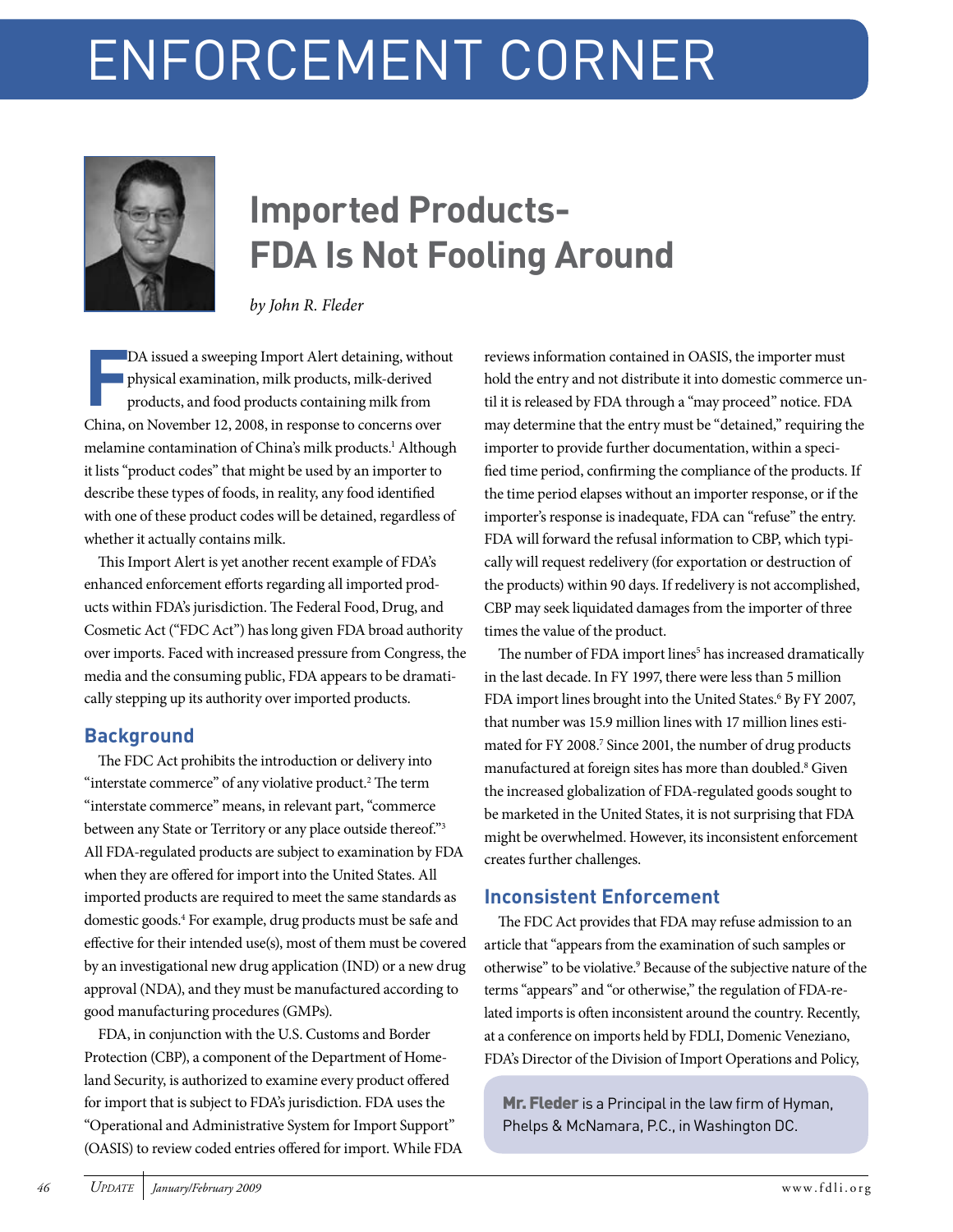# ENFORCEMENT CORNER



## **Imported Products-FDA Is Not Fooling Around**

*by John R. Fleder*

**F** DA issued a sweeping Import Alert detaining, without physical examination, milk products, milk-derived products, and food products containing milk from China, on November 12, 2008, in response to concerns over melamine contamination of China's milk products.<sup>1</sup> Although it lists "product codes" that might be used by an importer to describe these types of foods, in reality, any food identified with one of these product codes will be detained, regardless of whether it actually contains milk.

This Import Alert is yet another recent example of FDA's enhanced enforcement efforts regarding all imported products within FDA's jurisdiction. The Federal Food, Drug, and Cosmetic Act ("FDC Act") has long given FDA broad authority over imports. Faced with increased pressure from Congress, the media and the consuming public, FDA appears to be dramatically stepping up its authority over imported products.

### **Background**

The FDC Act prohibits the introduction or delivery into "interstate commerce" of any violative product.<sup>2</sup> The term "interstate commerce" means, in relevant part, "commerce between any State or Territory or any place outside thereof."3 All FDA-regulated products are subject to examination by FDA when they are offered for import into the United States. All imported products are required to meet the same standards as domestic goods.4 For example, drug products must be safe and effective for their intended use(s), most of them must be covered by an investigational new drug application (IND) or a new drug approval (NDA), and they must be manufactured according to good manufacturing procedures (GMPs).

FDA, in conjunction with the U.S. Customs and Border Protection (CBP), a component of the Department of Homeland Security, is authorized to examine every product offered for import that is subject to FDA's jurisdiction. FDA uses the "Operational and Administrative System for Import Support" (OASIS) to review coded entries offered for import. While FDA

reviews information contained in OASIS, the importer must hold the entry and not distribute it into domestic commerce until it is released by FDA through a "may proceed" notice. FDA may determine that the entry must be "detained," requiring the importer to provide further documentation, within a specified time period, confirming the compliance of the products. If the time period elapses without an importer response, or if the importer's response is inadequate, FDA can "refuse" the entry. FDA will forward the refusal information to CBP, which typically will request redelivery (for exportation or destruction of the products) within 90 days. If redelivery is not accomplished, CBP may seek liquidated damages from the importer of three times the value of the product.

The number of FDA import lines<sup>5</sup> has increased dramatically in the last decade. In FY 1997, there were less than 5 million FDA import lines brought into the United States.<sup>6</sup> By FY 2007, that number was 15.9 million lines with 17 million lines estimated for FY 2008.<sup>7</sup> Since 2001, the number of drug products manufactured at foreign sites has more than doubled.<sup>8</sup> Given the increased globalization of FDA-regulated goods sought to be marketed in the United States, it is not surprising that FDA might be overwhelmed. However, its inconsistent enforcement creates further challenges.

### **Inconsistent Enforcement**

The FDC Act provides that FDA may refuse admission to an article that "appears from the examination of such samples or otherwise" to be violative.9 Because of the subjective nature of the terms "appears" and "or otherwise," the regulation of FDA-related imports is often inconsistent around the country. Recently, at a conference on imports held by FDLI, Domenic Veneziano, FDA's Director of the Division of Import Operations and Policy,

Mr. Fleder is a Principal in the law firm of Hyman, Phelps & McNamara, P.C., in Washington DC.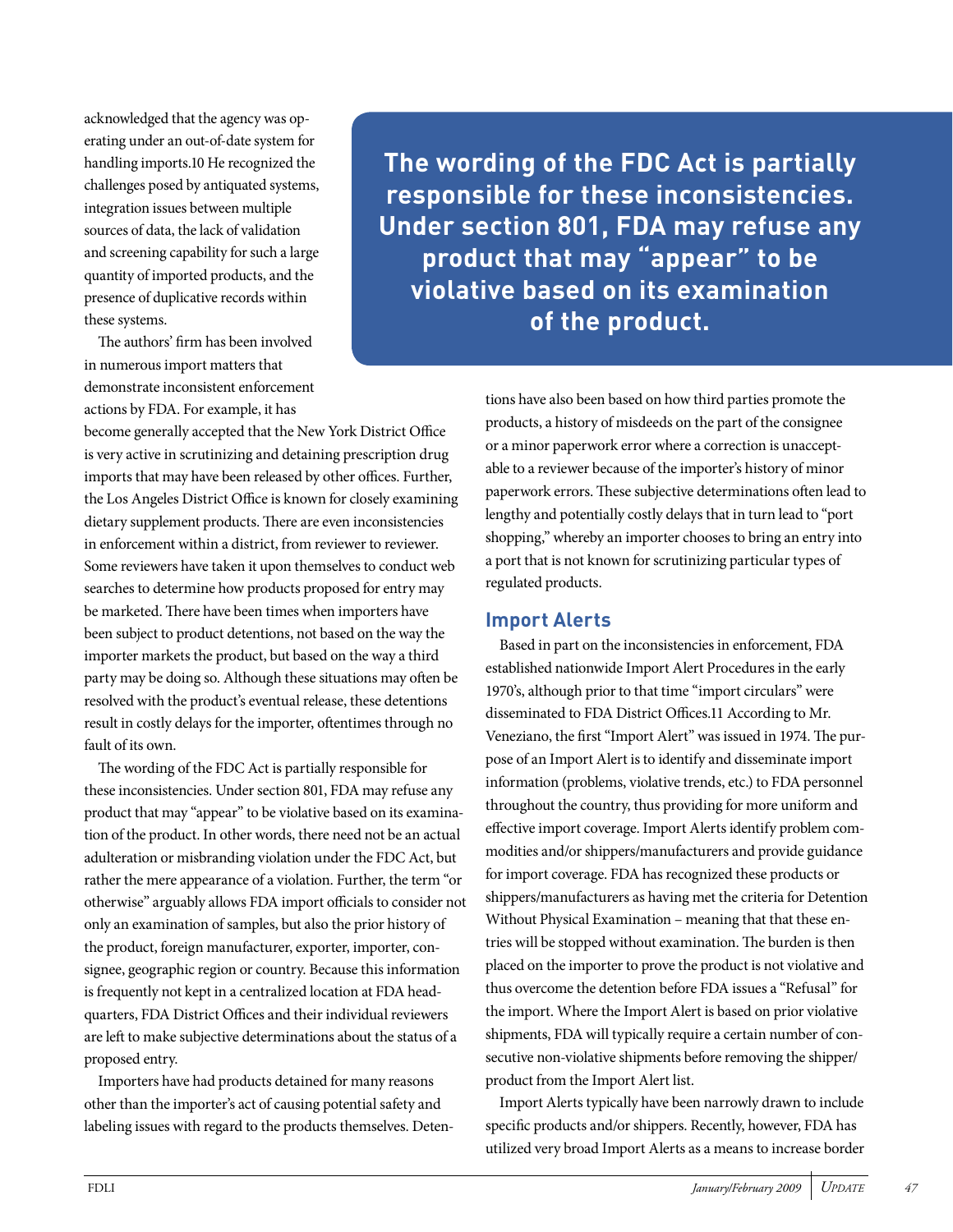acknowledged that the agency was operating under an out-of-date system for handling imports.10 He recognized the challenges posed by antiquated systems, integration issues between multiple sources of data, the lack of validation and screening capability for such a large quantity of imported products, and the presence of duplicative records within these systems.

The authors' firm has been involved in numerous import matters that demonstrate inconsistent enforcement actions by FDA. For example, it has

become generally accepted that the New York District Office is very active in scrutinizing and detaining prescription drug imports that may have been released by other offices. Further, the Los Angeles District Office is known for closely examining dietary supplement products. There are even inconsistencies in enforcement within a district, from reviewer to reviewer. Some reviewers have taken it upon themselves to conduct web searches to determine how products proposed for entry may be marketed. There have been times when importers have been subject to product detentions, not based on the way the importer markets the product, but based on the way a third party may be doing so. Although these situations may often be resolved with the product's eventual release, these detentions result in costly delays for the importer, oftentimes through no fault of its own.

The wording of the FDC Act is partially responsible for these inconsistencies. Under section 801, FDA may refuse any product that may "appear" to be violative based on its examination of the product. In other words, there need not be an actual adulteration or misbranding violation under the FDC Act, but rather the mere appearance of a violation. Further, the term "or otherwise" arguably allows FDA import officials to consider not only an examination of samples, but also the prior history of the product, foreign manufacturer, exporter, importer, consignee, geographic region or country. Because this information is frequently not kept in a centralized location at FDA headquarters, FDA District Offices and their individual reviewers are left to make subjective determinations about the status of a proposed entry.

Importers have had products detained for many reasons other than the importer's act of causing potential safety and labeling issues with regard to the products themselves. Deten-

**The wording of the FDC Act is partially responsible for these inconsistencies. Under section 801, FDA may refuse any product that may "appear" to be violative based on its examination of the product.**

> tions have also been based on how third parties promote the products, a history of misdeeds on the part of the consignee or a minor paperwork error where a correction is unacceptable to a reviewer because of the importer's history of minor paperwork errors. These subjective determinations often lead to lengthy and potentially costly delays that in turn lead to "port shopping," whereby an importer chooses to bring an entry into a port that is not known for scrutinizing particular types of regulated products.

#### **Import Alerts**

Based in part on the inconsistencies in enforcement, FDA established nationwide Import Alert Procedures in the early 1970's, although prior to that time "import circulars" were disseminated to FDA District Offices.11 According to Mr. Veneziano, the first "Import Alert" was issued in 1974. The purpose of an Import Alert is to identify and disseminate import information (problems, violative trends, etc.) to FDA personnel throughout the country, thus providing for more uniform and effective import coverage. Import Alerts identify problem commodities and/or shippers/manufacturers and provide guidance for import coverage. FDA has recognized these products or shippers/manufacturers as having met the criteria for Detention Without Physical Examination – meaning that that these entries will be stopped without examination. The burden is then placed on the importer to prove the product is not violative and thus overcome the detention before FDA issues a "Refusal" for the import. Where the Import Alert is based on prior violative shipments, FDA will typically require a certain number of consecutive non-violative shipments before removing the shipper/ product from the Import Alert list.

Import Alerts typically have been narrowly drawn to include specific products and/or shippers. Recently, however, FDA has utilized very broad Import Alerts as a means to increase border